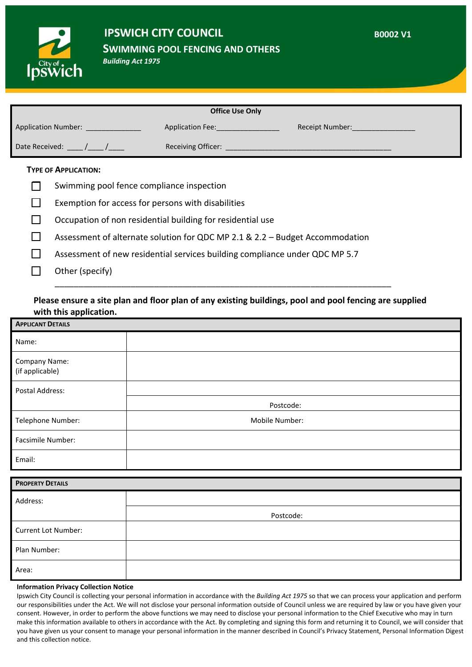

## **IPSWICH CITY COUNCIL**

**SWIMMING POOL FENCING AND OTHERS**

*Building Act 1975*

| <b>Office Use Only</b>     |                         |                        |
|----------------------------|-------------------------|------------------------|
| <b>Application Number:</b> | <b>Application Fee:</b> | <b>Receipt Number:</b> |
| Date Received:             | Receiving Officer:      |                        |

**B0002 V1**

#### **TYPE OF APPLICATION:**

- $\Box$  Swimming pool fence compliance inspection
- $\Box$  Exemption for access for persons with disabilities
- $\Box$  Occupation of non residential building for residential use
- $\Box$  Assessment of alternate solution for QDC MP 2.1 & 2.2 Budget Accommodation
- $\Box$  Assessment of new residential services building compliance under QDC MP 5.7
- $\Box$  Other (specify)

### **Please ensure a site plan and floor plan of any existing buildings, pool and pool fencing are supplied with this application.**

\_\_\_\_\_\_\_\_\_\_\_\_\_\_\_\_\_\_\_\_\_\_\_\_\_\_\_\_\_\_\_\_\_\_\_\_\_\_\_\_\_\_\_\_\_\_\_\_\_\_\_\_\_\_\_\_\_\_\_\_\_\_\_\_\_\_\_\_\_\_\_

| <b>APPLICANT DETAILS</b>         |                |  |
|----------------------------------|----------------|--|
| Name:                            |                |  |
| Company Name:<br>(if applicable) |                |  |
| Postal Address:                  |                |  |
|                                  | Postcode:      |  |
| Telephone Number:                | Mobile Number: |  |
| Facsimile Number:                |                |  |
| Email:                           |                |  |
| <b>PROPERTY DETAILS</b>          |                |  |
| Address:                         |                |  |
|                                  | Postcode:      |  |
| Current Lot Number:              |                |  |
| Plan Number:                     |                |  |
| Area:                            |                |  |

#### **Information Privacy Collection Notice**

Ipswich City Council is collecting your personal information in accordance with the *Building Act 1975* so that we can process your application and perform our responsibilities under the Act. We will not disclose your personal information outside of Council unless we are required by law or you have given your consent. However, in order to perform the above functions we may need to disclose your personal information to the Chief Executive who may in turn make this information available to others in accordance with the Act. By completing and signing this form and returning it to Council, we will consider that you have given us your consent to manage your personal information in the manner described in Council's Privacy Statement, Personal Information Digest and this collection notice.